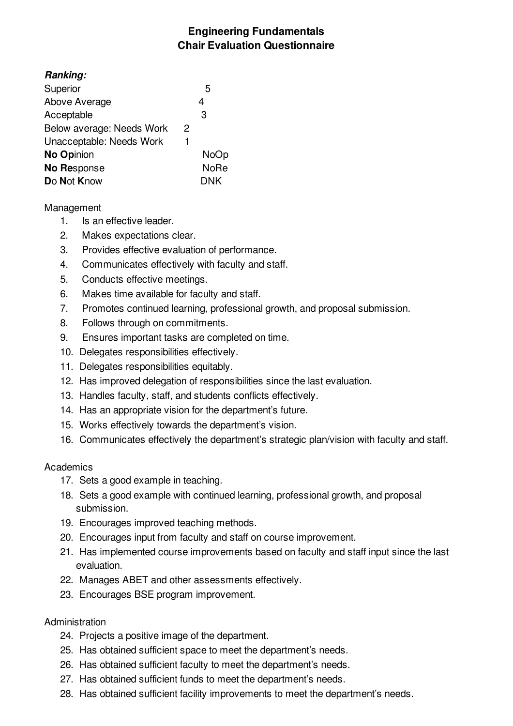# **Engineering Fundamentals Chair Evaluation Questionnaire**

| <b>Ranking:</b>           |   |             |
|---------------------------|---|-------------|
| Superior                  |   | 5           |
| Above Average             |   | 4           |
| Acceptable                |   | 3           |
| Below average: Needs Work | 2 |             |
| Unacceptable: Needs Work  | 1 |             |
| No Opinion                |   | NoOp        |
| No Response               |   | <b>NoRe</b> |
| Do Not Know               |   | DNK         |

## Management

- 1. Is an effective leader.
- 2. Makes expectations clear.
- 3. Provides effective evaluation of performance.
- 4. Communicates effectively with faculty and staff.
- 5. Conducts effective meetings.
- 6. Makes time available for faculty and staff.
- 7. Promotes continued learning, professional growth, and proposal submission.
- 8. Follows through on commitments.
- 9. Ensures important tasks are completed on time.
- 10. Delegates responsibilities effectively.
- 11. Delegates responsibilities equitably.
- 12. Has improved delegation of responsibilities since the last evaluation.
- 13. Handles faculty, staff, and students conflicts effectively.
- 14. Has an appropriate vision for the department's future.
- 15. Works effectively towards the department's vision.
- 16. Communicates effectively the department's strategic plan/vision with faculty and staff.

#### **Academics**

- 17. Sets a good example in teaching.
- 18. Sets a good example with continued learning, professional growth, and proposal submission.
- 19. Encourages improved teaching methods.
- 20. Encourages input from faculty and staff on course improvement.
- 21. Has implemented course improvements based on faculty and staff input since the last evaluation.
- 22. Manages ABET and other assessments effectively.
- 23. Encourages BSE program improvement.

#### Administration

- 24. Projects a positive image of the department.
- 25. Has obtained sufficient space to meet the department's needs.
- 26. Has obtained sufficient faculty to meet the department's needs.
- 27. Has obtained sufficient funds to meet the department's needs.
- 28. Has obtained sufficient facility improvements to meet the department's needs.